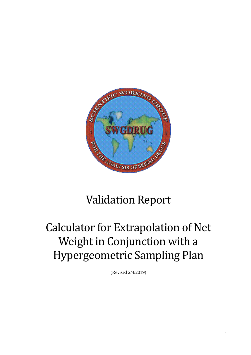

## Validation Report

# Calculator for Extrapolation of Net Weight in Conjunction with a Hypergeometric Sampling Plan

(Revised 2/4/2019)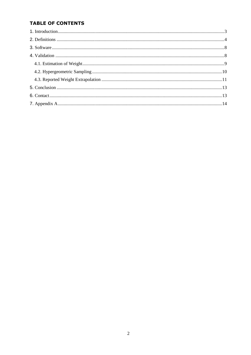## **TABLE OF CONTENTS**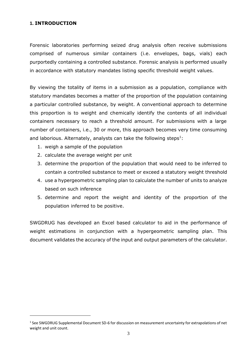### <span id="page-2-0"></span>**1. INTRODUCTION**

l

Forensic laboratories performing seized drug analysis often receive submissions comprised of numerous similar containers (i.e. envelopes, bags, vials) each purportedly containing a controlled substance. Forensic analysis is performed usually in accordance with statutory mandates listing specific threshold weight values.

By viewing the totality of items in a submission as a population, compliance with statutory mandates becomes a matter of the proportion of the population containing a particular controlled substance, by weight. A conventional approach to determine this proportion is to weight and chemically identify the contents of all individual containers necessary to reach a threshold amount. For submissions with a large number of containers, i.e., 30 or more, this approach becomes very time consuming and laborious. Alternately, analysts can take the following steps<sup>1</sup>:

- 1. weigh a sample of the population
- 2. calculate the average weight per unit
- 3. determine the proportion of the population that would need to be inferred to contain a controlled substance to meet or exceed a statutory weight threshold
- 4. use a hypergeometric sampling plan to calculate the number of units to analyze based on such inference
- 5. determine and report the weight and identity of the proportion of the population inferred to be positive.

SWGDRUG has developed an Excel based calculator to aid in the performance of weight estimations in conjunction with a hypergeometric sampling plan. This document validates the accuracy of the input and output parameters of the calculator.

<sup>&</sup>lt;sup>1</sup> See SWGDRUG Supplemental Document SD-6 for discussion on measurement uncertainty for extrapolations of net weight and unit count.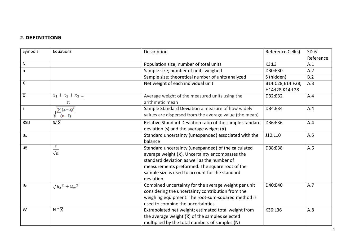### **2. DEFINITIONS**

<span id="page-3-0"></span>

| Symbols                   | Equations                   | Description                                                   | Reference Cell(s) | $SD-6$    |
|---------------------------|-----------------------------|---------------------------------------------------------------|-------------------|-----------|
|                           |                             |                                                               |                   | Reference |
| $\mathsf{N}$              |                             | Population size; number of total units                        | K3: L3            | A.1       |
| $\mathsf{n}$              |                             | Sample size; number of units weighed                          | D30:E30           | A.2       |
|                           |                             | Sample size; theoretical number of units analyzed             | S (hidden)        | B.2       |
| $\boldsymbol{\mathsf{X}}$ |                             | Net weight of each individual unit                            | B14:C28,E14:F28,  | A.3       |
|                           |                             |                                                               | H14:I28,K14:L28   |           |
| $\overline{\overline{X}}$ | $x_1 + x_2 + x_3 $          | Average weight of the measured units using the                | D32:E32           | A.4       |
|                           | $\boldsymbol{n}$            | arithmetic mean                                               |                   |           |
| S                         | $\sum (x - \overline{x})^2$ | Sample Standard Deviation a measure of how widely             | D34:E34           | A.4       |
|                           | $(n-1)$                     | values are dispersed from the average value (the mean)        |                   |           |
| <b>RSD</b>                | $S/\overline{X}$            | Relative Standard Deviation ratio of the sample standard      | D36:E36           | A.4       |
|                           |                             | deviation (s) and the average weight $(\overline{X})$         |                   |           |
| $U_w$                     |                             | Standard uncertainty (unexpanded) associated with the         | J10:L10           | A.5       |
|                           |                             | balance                                                       |                   |           |
| U $\overline{x}$          | S                           | Standard uncertainty (unexpanded) of the calculated           | D38:E38           | A.6       |
|                           | $\sqrt{n}$                  | average weight $(\overline{X})$ . Uncertainty encompasses the |                   |           |
|                           |                             | standard deviation as well as the number of                   |                   |           |
|                           |                             | measurements preformed. The square root of the                |                   |           |
|                           |                             | sample size is used to account for the standard               |                   |           |
|                           |                             | deviation.                                                    |                   |           |
| $u_c$                     | $\sqrt{u_x^2 + u_w^2}$      | Combined uncertainty for the average weight per unit          | D40:E40           | A.7       |
|                           |                             | considering the uncertainty contribution from the             |                   |           |
|                           |                             | weighing equipment. The root-sum-squared method is            |                   |           |
|                           |                             | used to combine the uncertainties.                            |                   |           |
| W                         | $N * \overline{X}$          | Extrapolated net weight; estimated total weight from          | K36:L36           | A.8       |
|                           |                             | the average weight $(\overline{X})$ of the samples selected   |                   |           |
|                           |                             | multiplied by the total numbers of samples (N)                |                   |           |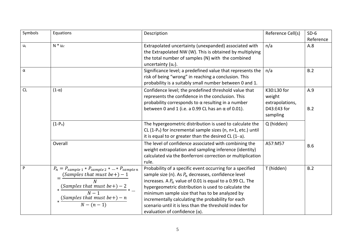| Symbols | Equations                                                                                                                                                                                                       | Description                                                                                                                                                                                                                                                                                                                                                                                                                                          | Reference Cell(s)                                                   | $SD-6$<br>Reference |
|---------|-----------------------------------------------------------------------------------------------------------------------------------------------------------------------------------------------------------------|------------------------------------------------------------------------------------------------------------------------------------------------------------------------------------------------------------------------------------------------------------------------------------------------------------------------------------------------------------------------------------------------------------------------------------------------------|---------------------------------------------------------------------|---------------------|
| $U_t$   | $N * u_c$                                                                                                                                                                                                       | Extrapolated uncertainty (unexpanded) associated with<br>the Extrapolated NW (W). This is obtained by multiplying<br>the total number of samples (N) with the combined<br>uncertainty $(u_c)$ .                                                                                                                                                                                                                                                      | n/a                                                                 | A.8                 |
| α       |                                                                                                                                                                                                                 | Significance level; a predefined value that represents the<br>risk of being "wrong" in reaching a conclusion. This<br>probability is a suitably small number between 0 and 1.                                                                                                                                                                                                                                                                        | n/a                                                                 | B.2                 |
| CL      | $(1-\alpha)$                                                                                                                                                                                                    | Confidence level; the predefined threshold value that<br>represents the confidence in the conclusion. This<br>probability corresponds to $\alpha$ resulting in a number<br>between 0 and 1 (i.e. a 0.99 CL has an $\alpha$ of 0.01).                                                                                                                                                                                                                 | K30:L30 for<br>weight<br>extrapolations,<br>D43:E43 for<br>sampling | A.9<br>B.2          |
|         | $(1-P_n)$                                                                                                                                                                                                       | The hypergeometric distribution is used to calculate the<br>CL (1-P <sub>n</sub> ) for incremental sample sizes (n, $n+1$ , etc.) until<br>it is equal to or greater than the desired CL $(1 - \alpha)$ .                                                                                                                                                                                                                                            | Q (hidden)                                                          |                     |
|         | Overall                                                                                                                                                                                                         | The level of confidence associated with combining the<br>weight extrapolation and sampling inference (identity)<br>calculated via the Bonferroni correction or multiplication<br>rule.                                                                                                                                                                                                                                                               | A57:M57                                                             | <b>B.6</b>          |
| P       | $P_n = P_{sample\ 1} * P_{sample\ 2} *  * P_{sample\ n}$<br>(Samples that must be +) $-1$<br>* $\frac{(Samples \; that \; must \; be+) - 2}{N-1}$ *<br>* $\frac{(Samples \; that \; must \; be+) - n}{N-(n-1)}$ | Probability of a specific event occurring for a specified<br>sample size (n). As $P_n$ decreases, confidence level<br>increases. A $P_n$ value of 0.01 is equal to a 0.99 CL. The<br>hypergeometric distribution is used to calculate the<br>minimum sample size that has to be analyzed by<br>incrementally calculating the probability for each<br>scenario until it is less than the threshold index for<br>evaluation of confidence $(\alpha)$ . | T (hidden)                                                          | B.2                 |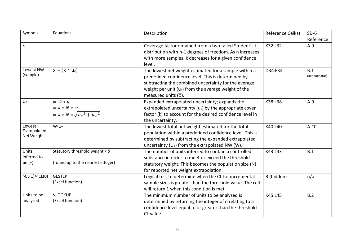| Symbols                              | Equations                                                                        | Description                                                                                                                                                                                                                                                        | Reference Cell(s) | $SD-6$<br>Reference  |
|--------------------------------------|----------------------------------------------------------------------------------|--------------------------------------------------------------------------------------------------------------------------------------------------------------------------------------------------------------------------------------------------------------------|-------------------|----------------------|
| $\mathsf k$                          |                                                                                  | Coverage factor obtained from a two tailed Student's t-<br>distribution with n-1 degrees of freedom. As n increases<br>with more samples, k decreases for a given confidence<br>level.                                                                             | K32:L32           | A.9                  |
| <b>Lowest NW</b><br>(sample)         | $\overline{X}$ – (k * u <sub>c</sub> )                                           | The lowest net weight estimated for a sample within a<br>predefined confidence level. This is determined by<br>subtracting the combined uncertainty for the average<br>weight per unit $(u_c)$ from the average weight of the<br>measured units $(\overline{X})$ . | D34:E34           | B.1<br>(denominator) |
| $U_T$                                | = $k * u_t$<br>= $k * N * u_c$<br>= $k * N * \sqrt{u_x^2 + u_w^2}$               | Expanded extrapolated uncertainty; expands the<br>extrapolated uncertainty $(u_c)$ by the appropriate cover<br>factor (k) to account for the desired confidence level in<br>the uncertainty.                                                                       | K38:L38           | A.9                  |
| Lowest<br>Extrapolated<br>Net Weight | $W-U_T$                                                                          | The lowest total net weight estimated for the total<br>population within a predefined confidence level. This is<br>determined by subtracting the expanded extrapolated<br>uncertainty ( $U_T$ ) from the extrapolated NW (W).                                      | K40:L40           | A.10                 |
| Units<br>inferred to<br>be $(+)$     | Statutory threshold weight / $\overline{X}$<br>(round up to the nearest integer) | The number of units inferred to contain a controlled<br>substance in order to meet or exceed the threshold<br>statutory weight. This becomes the population size (N)<br>for reported net weight extrapolation.                                                     | K43:L43           | B.1                  |
| >CL(1)/CL(0)                         | <b>GESTEP</b><br>(Excel function)                                                | Logical test to determine when the CL for incremental<br>sample sizes is greater than the threshold value. The cell<br>will return 1 when this condition is met.                                                                                                   | R (hidden)        | n/a                  |
| Units to be<br>analyzed              | <b>VLOOKUP</b><br>(Excel function)                                               | The minimum number of units to be analyzed is<br>determined by returning the integer of n relating to a<br>confidence level equal to or greater than the threshold<br>CL value.                                                                                    | K45:L45           | B.2                  |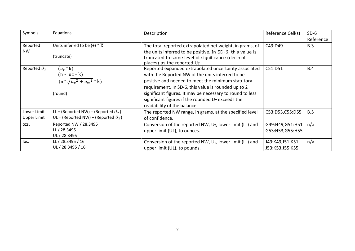| Symbols                    | Equations                                                                        | Description                                                                                                                                                                                                                                                                                                                                                               | Reference Cell(s)                  | $SD-6$<br>Reference |
|----------------------------|----------------------------------------------------------------------------------|---------------------------------------------------------------------------------------------------------------------------------------------------------------------------------------------------------------------------------------------------------------------------------------------------------------------------------------------------------------------------|------------------------------------|---------------------|
| Reported<br><b>NW</b>      | Units inferred to be $(+) * \overline{X}$<br>(truncate)                          | The total reported extrapolated net weight, in grams, of<br>the units inferred to be positive. In SD-6, this value is<br>truncated to same level of significance (decimal<br>places) as the reported $U_T$ .                                                                                                                                                              | C49:D49                            | B.3                 |
| Reported $U_T$             | $= (u_t * k)$<br>= (n * uc * k)<br>= (n * $\sqrt{u_x^2 + u_w^2}$ * k)<br>(round) | Reported expanded extrapolated uncertainty associated<br>with the Reported NW of the units inferred to be<br>positive and needed to meet the minimum statutory<br>requirement. In SD-6, this value is rounded up to 2<br>significant figures. It may be necessary to round to less<br>significant figures if the rounded $U_T$ exceeds the<br>readability of the balance. | C51:D51                            | B.4                 |
| Lower Limit<br>Upper Limit | LL = (Reported NW) – (Reported $U_T$ )<br>UL = (Reported NW) + (Reported $U_T$ ) | The reported NW range, in grams, at the specified level<br>of confidence.                                                                                                                                                                                                                                                                                                 | C53:D53,C55:D55                    | B.5                 |
| OZS.                       | Reported NW / 28.3495<br>LL / 28.3495<br>UL / 28.3495                            | Conversion of the reported NW, U <sub>T</sub> , lower limit (LL) and<br>upper limit (UL), to ounces.                                                                                                                                                                                                                                                                      | G49:H49,G51:H51<br>G53:H53,G55:H55 | n/a                 |
| Ibs.                       | LL / 28.3495 / 16<br>UL / 28.3495 / 16                                           | Conversion of the reported NW, $U_T$ , lower limit (LL) and<br>upper limit (UL), to pounds.                                                                                                                                                                                                                                                                               | J49:K49,J51:K51<br>J53:K53,J55:K55 | n/a                 |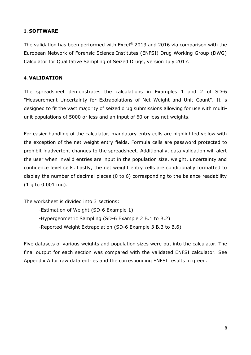## <span id="page-7-0"></span>**3. SOFTWARE**

The validation has been performed with Excel® 2013 and 2016 via comparison with the European Network of Forensic Science Institutes (ENFSI) Drug Working Group (DWG) Calculator for Qualitative Sampling of Seized Drugs, version July 2017.

## <span id="page-7-1"></span>**4. VALIDATION**

The spreadsheet demonstrates the calculations in Examples 1 and 2 of SD-6 "Measurement Uncertainty for Extrapolations of Net Weight and Unit Count". It is designed to fit the vast majority of seized drug submissions allowing for use with multiunit populations of 5000 or less and an input of 60 or less net weights.

For easier handling of the calculator, mandatory entry cells are highlighted yellow with the exception of the net weight entry fields. Formula cells are password protected to prohibit inadvertent changes to the spreadsheet. Additionally, data validation will alert the user when invalid entries are input in the population size, weight, uncertainty and confidence level cells. Lastly, the net weight entry cells are conditionally formatted to display the number of decimal places (0 to 6) corresponding to the balance readability (1 g to 0.001 mg).

The worksheet is divided into 3 sections:

- -Estimation of Weight (SD-6 Example 1)
- -Hypergeometric Sampling (SD-6 Example 2 B.1 to B.2)
- -Reported Weight Extrapolation (SD-6 Example 3 B.3 to B.6)

Five datasets of various weights and population sizes were put into the calculator. The final output for each section was compared with the validated ENFSI calculator. See Appendix A for raw data entries and the corresponding ENFSI results in green.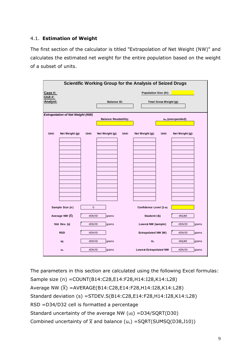## <span id="page-8-0"></span>4.1. **Estimation of Weight**

The first section of the calculator is titled "Extrapolation of Net Weight (NW)" and calculates the estimated net weight for the entire population based on the weight of a subset of units.

|                    |                                         |             |                             |       | <b>Scientific Working Group for the Analysis of Seized Drugs</b> |                         |                     |       |
|--------------------|-----------------------------------------|-------------|-----------------------------|-------|------------------------------------------------------------------|-------------------------|---------------------|-------|
| Case #:<br>Unit #: |                                         |             |                             |       | Population Size (N):                                             |                         |                     |       |
| Analyst:           |                                         |             | <b>Balance ID:</b>          |       |                                                                  | Total Gross Weight (g): |                     |       |
|                    | <b>Extrapolation of Net Weight (NW)</b> |             | <b>Balance Readability:</b> |       |                                                                  |                         | $u_w$ (unexpanded): |       |
| Unit:              | Net Weight (g):                         | Unit:       | Net Weight (g):             | Unit: | Net Weight (g):                                                  | Unit:                   | Net Weight (g):     |       |
|                    |                                         |             |                             |       |                                                                  |                         |                     |       |
|                    |                                         |             |                             |       |                                                                  |                         |                     |       |
|                    |                                         |             |                             |       |                                                                  |                         |                     |       |
|                    |                                         |             |                             |       |                                                                  |                         |                     |       |
|                    |                                         |             |                             |       |                                                                  |                         |                     |       |
|                    | Sample Size (n)                         | $\mathbf 0$ |                             |       | Confidence Level (1- $\alpha$ )                                  |                         |                     |       |
|                    | Average NW $(\overline{X})$             | #DIV/0!     | grams                       |       | Student-t (k)                                                    |                         | #NUM!               |       |
|                    | Std. Dev. (s)                           | #DIV/0!     | grams                       |       | Lowest NW (sample)                                               |                         | #DIV/0!             | grams |
|                    | <b>RSD</b>                              | #DIV/0!     |                             |       | Extrapolated NW (W)                                              |                         | #DIV/0!             | grams |
|                    | ux                                      | #DIV/0!     | grams                       |       | $U_T$                                                            |                         | #NUM!               | grams |
|                    | $u_{c}$                                 | #DIV/0!     | grams                       |       | <b>Lowest Extrapolated NW</b>                                    |                         | #DIV/0!             | grams |

The parameters in this section are calculated using the following Excel formulas: Sample size (n) = COUNT(B14: C28, E14: F28, H14: I28, K14: L28) Average NW ( $\overline{\chi}$ ) =AVERAGE(B14:C28,E14:F28,H14:I28,K14:L28) Standard deviation (s) = STDEV.S(B14:C28,E14:F28,H14:I28,K14:L28) RSD =D34/D32 cell is formatted a percentage Standard uncertainty of the average NW (u<sub> $\bar{x}$ </sub>) =D34/SQRT(D30) Combined uncertainty of  $\overline{X}$  and balance (u<sub>c</sub>) = SQRT(SUMSQ(D38,J10))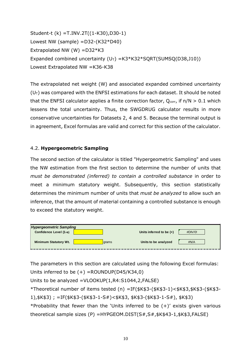Student-t (k) =T.INV.2T((1-K30),D30-1) **Case #: Population Size (***N***):** Lowest NW (sample) = D32-(K32\*D40) Extrapolated NW (W) =D32\*K3 Expanded combined uncertainty (U<sub>T</sub>) =K3\*K32\*SQRT(SUMSQ(D38,J10)) Lowest Extrapolated NW =K36-K38

The extrapolated net weight (W) and associated expanded combined uncertainty  $(U_T)$  was compared with the ENFSI estimations for each dataset. It should be noted that the ENFSI calculator applies a finite correction factor,  $Q_{corr}$ , if  $n/N > 0.1$  which lessens the total uncertainty. Thus, the SWGDRUG calculator results in more conservative uncertainties for Datasets 2, 4 and 5. Because the terminal output is in agreement, Excel formulas are valid and correct for this section of the calculator.

#### <span id="page-9-0"></span>4.2. **Hypergeometric Sampling**

The second section of the calculator is titled "Hypergeometric Sampling" and uses the NW estimation from the first section to determine the number of units that must be demonstrated (inferred) to contain a controlled substance in order to meet a minimum statutory weight. Subsequently, this section statistically determines the minimum number of units that *must be analyzed* to allow such an inference, that the amount of material containing a controlled substance is enough to exceed the statutory weight.

| <b>Hypergeometric Sampling</b>  |       |                            |         |
|---------------------------------|-------|----------------------------|---------|
| Confidence Level (1- $\alpha$ ) |       | Units inferred to be $(+)$ | #DIV/0! |
| <b>Minimum Statutory Wt.</b>    | grams | Units to be analyzed       | #N/A    |

The parameters in this section are calculated using the following Excel formulas: Units inferred to be (+) =ROUNDUP(D45/K34,0)

Units to be analyzed =VLOOKUP(1,R4:S1044,2,FALSE)

\*Theoretical number of items tested (n) =IF(\$K\$3-(\$K\$3-1)<\$K\$3,\$K\$3-(\$K\$3- grams ozs. lbs. #DIV/0! #DIV/0! **Upper Limit** #DIV/0!1),\$K\$3); =IF(\$K\$3-(\$K\$3-1-S#)<\$K\$3, \$K\$3-(\$K\$3-1-S#), \$K\$3)

\*Probability that fewer than the 'Units inferred to be  $(+)'$  exists given various theoretical sample sizes (P) =HYPGEOM.DIST(S#,S#,\$K\$43-1,\$K\$3,FALSE)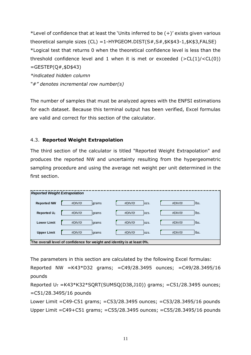\*Level of confidence that at least the 'Units inferred to be  $(+)$ ' exists given various theoretical sample sizes (CL) =1-HYPGEOM.DIST(S#,S#,\$K\$43-1,\$K\$3,FALSE) \*Logical test that returns 0 when the theoretical confidence level is less than the threshold confidence level and 1 when it is met or exceeded  $(>CL(1)/$  $=$ GESTEP(Q#,\$D\$43) *\*indicated hidden column "#" denotes incremental row number(s)*

The number of samples that must be analyzed agrees with the ENFSI estimations for each dataset. Because this terminal output has been verified, Excel formulas are valid and correct for this section of the calculator.

#### <span id="page-10-0"></span>4.3. Reported Weight Extrapolation

The third section of the calculator is titled "Reported Weight Extrapolation" and produces the reported NW and uncertainty resulting from the hypergeometric sampling procedure and using the average net weight per unit determined in the first section.

| <b>Reported Weight Extrapolation</b> |                                                                         |             |       |         |      |
|--------------------------------------|-------------------------------------------------------------------------|-------------|-------|---------|------|
| <b>Reported NW</b>                   | #DIV/0!<br><b>Igrams</b>                                                | $\#$ DIV/0! | lozs. | #DIV/0! | Ibs. |
| Reported $U_T$                       | #DIV/0!<br>grams                                                        | #DIV/0!     | lozs. | #DIV/0! | Ibs. |
| <b>Lower Limit</b>                   | #DIV/0!<br>grams                                                        | #DIV/0!     | lozs. | #DIV/0! | Ibs. |
| <b>Upper Limit</b>                   | #DIV/0!<br>grams                                                        | #DIV/0!     | lozs. | #DIV/0! | Ibs. |
|                                      | The overall level of confidence for weight and identity is at least 0%. |             |       |         |      |

The parameters in this section are calculated by the following Excel formulas: Reported NW =K43\*D32 grams; =C49/28.3495 ounces; =C49/28.3495/16 pounds

```
Reported U_T = K43*K32*SQRT(SUMSQ(D38, J10)) grams; =C51/28.3495 ounces;
=C51/28.3495/16 pounds
```

```
Lower Limit =C49-C51 grams; =C53/28.3495 ounces; =C53/28.3495/16 pounds
Upper Limit =C49+C51 grams; =C55/28.3495 ounces; =C55/28.3495/16 pounds
```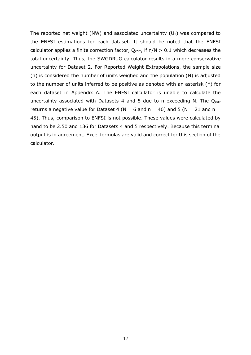The reported net weight (NW) and associated uncertainty ( $U_T$ ) was compared to the ENFSI estimations for each dataset. It should be noted that the ENFSI calculator applies a finite correction factor,  $Q_{corr}$ , if  $n/N > 0.1$  which decreases the total uncertainty. Thus, the SWGDRUG calculator results in a more conservative uncertainty for Dataset 2. For Reported Weight Extrapolations, the sample size (n) is considered the number of units weighed and the population (N) is adjusted to the number of units inferred to be positive as denoted with an asterisk (\*) for each dataset in Appendix A. The ENFSI calculator is unable to calculate the uncertainty associated with Datasets 4 and 5 due to n exceeding N. The  $Q_{corr}$ returns a negative value for Dataset 4 (N = 6 and n = 40) and 5 (N = 21 and n = 45). Thus, comparison to ENFSI is not possible. These values were calculated by hand to be 2.50 and 136 for Datasets 4 and 5 respectively. Because this terminal output is in agreement, Excel formulas are valid and correct for this section of the calculator.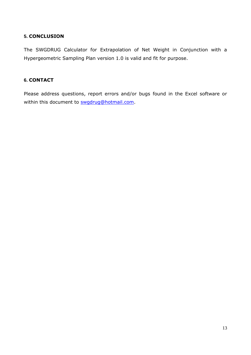### <span id="page-12-0"></span>**5. CONCLUSION**

The SWGDRUG Calculator for Extrapolation of Net Weight in Conjunction with a Hypergeometric Sampling Plan version 1.0 is valid and fit for purpose.

#### <span id="page-12-1"></span>**6. CONTACT**

Please address questions, report errors and/or bugs found in the Excel software or within this document to [swgdrug@hotmail.com.](mailto:swgdrug@hotmail.com)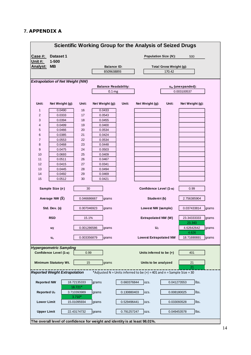## <span id="page-13-0"></span>**7. APPENDIX A**

|                    |                                         |                         | <b>Scientific Working Group for the Analysis of Seized Drugs</b>            |             |                                                                         |                             |                              |       |
|--------------------|-----------------------------------------|-------------------------|-----------------------------------------------------------------------------|-------------|-------------------------------------------------------------------------|-----------------------------|------------------------------|-------|
| Case #:            | <b>Dataset 1</b>                        |                         |                                                                             |             |                                                                         | <b>Population Size (N):</b> | 500                          |       |
| <u> Unit #:</u>    | $1 - 500$                               |                         |                                                                             |             |                                                                         |                             |                              |       |
| Analyst:           | MВ                                      |                         | <b>Balance ID:</b>                                                          |             |                                                                         | Total Gross Weight (g):     |                              |       |
|                    |                                         |                         | B509638893                                                                  |             |                                                                         | 170.42                      |                              |       |
|                    |                                         |                         |                                                                             |             |                                                                         |                             |                              |       |
|                    | <b>Extrapolation of Net Weight (NW)</b> |                         |                                                                             |             |                                                                         |                             |                              |       |
|                    |                                         |                         | <b>Balance Readability:</b>                                                 |             |                                                                         |                             | u <sub>w</sub> (unexpanded): |       |
|                    |                                         |                         | 0.1 <sub>mg</sub>                                                           |             |                                                                         |                             | 0.003100537                  |       |
|                    |                                         |                         |                                                                             |             |                                                                         |                             |                              |       |
| Unit:              | Net Weight (g):                         | Unit:                   | Net Weight (g):                                                             | Unit:       | Net Weight (g):                                                         | Unit:                       | Net Weight (g):              |       |
| 1                  | 0.0490                                  | 16                      | 0.0433                                                                      |             |                                                                         |                             |                              |       |
| 2                  | 0.0333                                  | 17                      | 0.0543                                                                      |             |                                                                         |                             |                              |       |
| 3                  | 0.0394                                  | 18                      | 0.0455                                                                      |             |                                                                         |                             |                              |       |
| 4                  | 0.0499                                  | 19                      | 0.0400                                                                      |             |                                                                         |                             |                              |       |
| 5                  | 0.0466                                  | 20                      | 0.0534                                                                      |             |                                                                         |                             |                              |       |
| 6                  | 0.0385                                  | 21                      | 0.0424                                                                      |             |                                                                         |                             |                              |       |
| 7                  | 0.0553                                  | 22                      | 0.0534                                                                      |             |                                                                         |                             |                              |       |
| 8                  | 0.0468                                  | 23                      | 0.0448                                                                      |             |                                                                         |                             |                              |       |
| 9                  | 0.0475                                  | 24                      | 0.0503                                                                      |             |                                                                         |                             |                              |       |
| 10                 | 0.0693                                  | 25                      | 0.0409                                                                      |             |                                                                         |                             |                              |       |
| 11                 | 0.0511                                  | 26                      | 0.0467                                                                      |             |                                                                         |                             |                              |       |
| 12                 | 0.0415                                  | 27                      | 0.0341                                                                      |             |                                                                         |                             |                              |       |
| 13                 | 0.0445                                  | 28                      | 0.0494                                                                      |             |                                                                         |                             |                              |       |
| 14                 | 0.0492                                  | 29                      | 0.0469                                                                      |             |                                                                         |                             |                              |       |
| 15                 | 0.0512                                  | 30                      | 0.0421                                                                      |             |                                                                         |                             |                              |       |
|                    | Sample Size (n)                         | 30                      |                                                                             |             | Confidence Level (1-α)                                                  |                             | 0.99                         |       |
|                    | Average NW $(\overline{X})$             | 0.046686667             | grams                                                                       |             | Student-t (k)                                                           |                             | 2.756385904                  |       |
|                    | Std. Dev. (s)                           | 0.007046923             | grams                                                                       |             | Lowest NW (sample)                                                      |                             | 0.037433814                  | grams |
|                    | <b>RSD</b>                              | 15.1%                   |                                                                             |             | Extrapolated NW (W)                                                     |                             | 23.34333333<br>23.343        | grams |
|                    | uπ                                      | 0.001286586             | grams                                                                       |             | $U_T$                                                                   |                             | 4.62642642<br>4.626          | grams |
|                    | $u_{c}$                                 | 0.003356879             | grams                                                                       |             | <b>Lowest Extrapolated NW</b>                                           |                             | 18.71690691                  | grams |
|                    | <b>Hypergeometric Sampling</b>          |                         |                                                                             |             |                                                                         |                             |                              |       |
|                    | Confidence Level (1-α)                  | 0.99                    |                                                                             |             | Units inferred to be (+)                                                |                             | 401                          |       |
|                    | <b>Minimum Statutory Wt.</b>            | 15                      | grams                                                                       |             | Units to be analyzed                                                    |                             | 21                           |       |
|                    | <b>Reported Weight Extrapolation</b>    |                         |                                                                             |             | *Adjusted N = Units inferred to be $(+)$ = 401 and n = Sample Size = 30 |                             | 21                           |       |
| <b>Reported NW</b> |                                         | 18.72135333<br>18.721*  | grams                                                                       | 0.660376844 | OZS.                                                                    |                             | Ibs.<br>0.041273553          |       |
| Reported $U_T$     |                                         | 3.710393989             | grams                                                                       | 0.130880403 | OZS.                                                                    |                             | Ibs.<br>0.008180025          |       |
| <b>Lower Limit</b> |                                         | $3.710*$<br>15.01095934 | grams                                                                       | 0.529496441 | OZS.                                                                    |                             | Ibs.<br>0.033093528          |       |
| <b>Upper Limit</b> |                                         | 22.43174732             | grams                                                                       | 0.791257247 | OZS.                                                                    |                             | Ibs.<br>0.049453578          |       |
|                    |                                         |                         |                                                                             |             |                                                                         |                             |                              |       |
|                    |                                         |                         | The overall level of confidence for weight and identity is at least 98.01%. |             |                                                                         |                             |                              |       |

14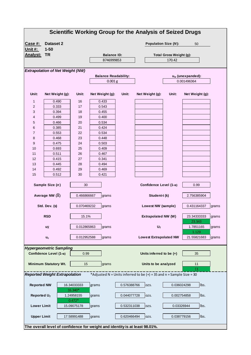|                         |                                         |                        |                                                                             |             | <b>Scientific Working Group for the Analysis of Seized Drugs</b>       |                         |                       |       |
|-------------------------|-----------------------------------------|------------------------|-----------------------------------------------------------------------------|-------------|------------------------------------------------------------------------|-------------------------|-----------------------|-------|
| <u>Case #:</u>          | Dataset 2                               |                        |                                                                             |             | <b>Population Size (N):</b>                                            |                         | 50                    |       |
| <u> Unit #:</u>         | $1 - 50$                                |                        |                                                                             |             |                                                                        |                         |                       |       |
| <u>Analyst:</u>         | TR                                      |                        | <b>Balance ID:</b>                                                          |             |                                                                        | Total Gross Weight (g): |                       |       |
|                         |                                         |                        | B746999853                                                                  |             |                                                                        | 170.42                  |                       |       |
|                         |                                         |                        |                                                                             |             |                                                                        |                         |                       |       |
|                         | <b>Extrapolation of Net Weight (NW)</b> |                        |                                                                             |             |                                                                        |                         |                       |       |
|                         |                                         |                        | <b>Balance Readability:</b>                                                 |             |                                                                        |                         | $u_w$ (unexpanded):   |       |
|                         |                                         |                        | 0.001 <sub>g</sub>                                                          |             |                                                                        |                         | 0.001496364           |       |
|                         |                                         |                        |                                                                             |             |                                                                        |                         |                       |       |
| Unit:                   | Net Weight (g):                         | Unit:                  | Net Weight (g):                                                             | Unit:       | Net Weight (g):                                                        | Unit:                   | Net Weight (g):       |       |
| 1                       | 0.490                                   | 16                     | 0.433                                                                       |             |                                                                        |                         |                       |       |
| 2                       | 0.333                                   | 17                     | 0.543                                                                       |             |                                                                        |                         |                       |       |
| 3                       | 0.394                                   | 18                     | 0.455                                                                       |             |                                                                        |                         |                       |       |
| 4                       | 0.499                                   | 19                     | 0.400                                                                       |             |                                                                        |                         |                       |       |
| 5                       | 0.466                                   | 20                     | 0.534                                                                       |             |                                                                        |                         |                       |       |
| 6                       | 0.385                                   | 21                     | 0.424                                                                       |             |                                                                        |                         |                       |       |
| 7                       | 0.553                                   | 22                     | 0.534                                                                       |             |                                                                        |                         |                       |       |
| 8                       | 0.468                                   | 23                     | 0.448                                                                       |             |                                                                        |                         |                       |       |
| 9                       | 0.475                                   | 24                     | 0.503                                                                       |             |                                                                        |                         |                       |       |
| 10                      | 0.693                                   | 25                     | 0.409                                                                       |             |                                                                        |                         |                       |       |
| 11                      | 0.511                                   | 26                     | 0.467                                                                       |             |                                                                        |                         |                       |       |
| 12                      | 0.415                                   | 27                     | 0.341                                                                       |             |                                                                        |                         |                       |       |
| 13                      | 0.445                                   | 28                     | 0.494                                                                       |             |                                                                        |                         |                       |       |
| 14                      | 0.492                                   | 29                     | 0.469                                                                       |             |                                                                        |                         |                       |       |
| 15                      | 0.512                                   | 30                     | 0.421                                                                       |             |                                                                        |                         |                       |       |
|                         | Sample Size (n)                         | 30                     |                                                                             |             | Confidence Level (1-α)                                                 |                         | 0.99                  |       |
|                         | Average NW $(\overline{X})$             | 0.466866667            | grams                                                                       |             | Student-t (k)                                                          |                         | 2.756385904           |       |
|                         | Std. Dev. (s)                           | 0.070469232            | grams                                                                       |             | Lowest NW (sample)                                                     |                         | 0.431164337           | grams |
|                         | <b>RSD</b>                              | 15.1%                  |                                                                             |             | Extrapolated NW (W)                                                    |                         | 23.34333333<br>23.343 | grams |
|                         | $\mathsf{u}\overline{\mathsf{x}}$       | 0.012865863            | grams                                                                       |             | $U_T$                                                                  |                         | 1.7851165<br>1.129    | grams |
|                         | $u_{c}$                                 | 0.012952588            | grams                                                                       |             | <b>Lowest Extrapolated NW</b>                                          |                         | 21.55821683           | grams |
|                         | <b>Hypergeometric Sampling</b>          |                        |                                                                             |             |                                                                        |                         |                       |       |
|                         | Confidence Level (1-α)                  | 0.99                   |                                                                             |             | Units inferred to be (+)                                               |                         | 35                    |       |
|                         | <b>Minimum Statutory Wt.</b>            | 15                     | grams                                                                       |             | Units to be analyzed                                                   |                         | 11                    |       |
|                         | <b>Reported Weight Extrapolation</b>    |                        |                                                                             |             | *Adjusted N = Units inferred to be $(+)$ = 35 and n = Sample Size = 30 |                         | 11                    |       |
| <b>Reported NW</b>      |                                         | 16.34033333<br>16.340* | grams                                                                       | 0.576388766 | ozs.                                                                   |                         | Ibs.<br>0.036024298   |       |
| Reported U <sub>T</sub> |                                         | 1.24958155<br>$0.472*$ | grams                                                                       | 0.044077728 | OZS.                                                                   |                         | Ibs.<br>0.002754858   |       |
| <b>Lower Limit</b>      |                                         | 15.09075178            | grams                                                                       | 0.532311038 | OZS.                                                                   |                         | Ibs.<br>0.03326944    |       |
| <b>Upper Limit</b>      |                                         | 17.58991488            | grams                                                                       | 0.620466494 | OZS.                                                                   |                         | Ibs.<br>0.038779156   |       |
|                         |                                         |                        | The overall level of confidence for weight and identity is at least 98.01%. |             |                                                                        |                         |                       |       |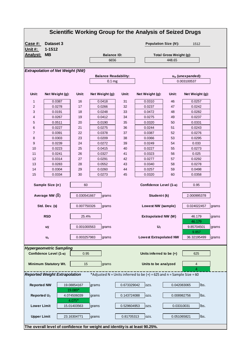|                    |                                                |                        |                                                                             |             | <b>Scientific Working Group for the Analysis of Seized Drugs</b>        |                         |                              |       |
|--------------------|------------------------------------------------|------------------------|-----------------------------------------------------------------------------|-------------|-------------------------------------------------------------------------|-------------------------|------------------------------|-------|
| <u>Case #:</u>     | Dataset 3                                      |                        |                                                                             |             | <b>Population Size (N):</b>                                             |                         | 1512                         |       |
| <u> Unit #:</u>    | 1-1512                                         |                        |                                                                             |             |                                                                         |                         |                              |       |
| <u> Analyst:</u>   | MВ                                             |                        | <b>Balance ID:</b>                                                          |             |                                                                         | Total Gross Weight (g): |                              |       |
|                    |                                                |                        | 6656                                                                        |             |                                                                         | 448.65                  |                              |       |
|                    |                                                |                        |                                                                             |             |                                                                         |                         |                              |       |
|                    | <b>Extrapolation of Net Weight (NW)</b>        |                        |                                                                             |             |                                                                         |                         |                              |       |
|                    |                                                |                        | <b>Balance Readability:</b>                                                 |             |                                                                         |                         | u <sub>w</sub> (unexpanded): |       |
|                    |                                                |                        | 0.1 <sub>mg</sub>                                                           |             |                                                                         |                         | 0.003100537                  |       |
|                    |                                                |                        |                                                                             |             |                                                                         |                         |                              |       |
| Unit:              | Net Weight (g):                                | Unit:                  | Net Weight (g):                                                             | Unit:       | Net Weight (g):                                                         | Unit:                   | Net Weight (g):              |       |
| 1                  | 0.0387                                         | 16                     | 0.0418                                                                      | 31          | 0.0310                                                                  | 46                      | 0.0257                       |       |
| 2                  | 0.0278                                         | 17                     | 0.0266                                                                      | 32          | 0.0237                                                                  | 47                      | 0.0242                       |       |
| 3                  | 0.0191                                         | 18                     | 0.0248                                                                      | 33          | 0.0472                                                                  | 48                      | 0.0282                       |       |
| 4                  | 0.0267                                         | 19                     | 0.0412                                                                      | 34          | 0.0275                                                                  | 49                      | 0.0237                       |       |
| 5                  | 0.0511                                         | 20                     | 0.0190                                                                      | 35          | 0.0320                                                                  | 50                      | 0.0331                       |       |
| 6                  | 0.0227                                         | 21                     | 0.0275                                                                      | 36          | 0.0244                                                                  | 51                      | 0.0243                       |       |
| 7                  | 0.0391                                         | 22                     | 0.0378                                                                      | 37          | 0.0387                                                                  | 52                      | 0.0276                       |       |
| 8                  | 0.0303                                         | 23                     | 0.0209                                                                      | 38          | 0.0366                                                                  | 53                      | 0.0295                       |       |
| 9                  | 0.0239                                         | 24                     | 0.0272                                                                      | 39          | 0.0249                                                                  | 54                      | 0.033                        |       |
| 10                 | 0.0223                                         | 25                     | 0.0415                                                                      | 40          | 0.0227                                                                  | 55                      | 0.0273                       |       |
| 11                 | 0.0241                                         | 26                     | 0.0327                                                                      | 41          | 0.0323                                                                  | 56                      | 0.025                        |       |
| 12                 | 0.0314                                         | 27                     | 0.0291                                                                      | 42          | 0.0277                                                                  | 57                      | 0.0292                       |       |
| 13                 | 0.0283                                         | 28                     | 0.0552                                                                      | 43          | 0.0340                                                                  | 58                      | 0.0278                       |       |
| 14                 | 0.0304                                         | 29                     | 0.0260                                                                      | 44          | 0.0257                                                                  | 59                      | 0.0498                       |       |
| 15                 | 0.0334                                         | 30                     | 0.0273                                                                      | 45          | 0.0320                                                                  | 60                      | 0.0358                       |       |
|                    | Sample Size (n)<br>Average NW $(\overline{X})$ | 60<br>0.030541667      | grams                                                                       |             | Confidence Level (1-α)<br>Student-t (k)                                 |                         | 0.95<br>2.000995378          |       |
|                    | Std. Dev. (s)                                  | 0.007750326            | grams                                                                       |             | Lowest NW (sample)                                                      |                         | 0.024022457                  | grams |
|                    | <b>RSD</b>                                     | 25.4%                  |                                                                             |             | Extrapolated NW (W)                                                     |                         | 46.179<br>46.179             | grams |
|                    | ux                                             | 0.001000563            | grams                                                                       |             | $U_T$                                                                   |                         | 9.85704501<br>9.857          | grams |
|                    | $u_{c}$                                        | 0.003257983            | grams                                                                       |             | <b>Lowest Extrapolated NW</b>                                           |                         | 36.32195499                  | grams |
|                    | <b>Hypergeometric Sampling</b>                 |                        |                                                                             |             |                                                                         |                         |                              |       |
|                    | Confidence Level (1-α)                         | 0.95                   |                                                                             |             | Units inferred to be (+)                                                |                         | 625                          |       |
|                    | <b>Minimum Statutory Wt.</b>                   | 15                     | grams                                                                       |             | Units to be analyzed                                                    |                         | 4<br>4                       |       |
|                    | <b>Reported Weight Extrapolation</b>           |                        |                                                                             |             | *Adjusted N = Units inferred to be $(+)$ = 625 and n = Sample Size = 60 |                         |                              |       |
| <b>Reported NW</b> |                                                | 19.08854167<br>19.089* | grams                                                                       | 0.673329042 | ozs.                                                                    |                         | Ibs.<br>0.042083065          |       |
| Reported $U_T$     |                                                | 4.074506039<br>4.075*  | grams                                                                       | 0.143724088 | OZS.                                                                    |                         | Ibs.<br>0.008982756          |       |
| <b>Lower Limit</b> |                                                | 15.01403563            | grams                                                                       | 0.529604953 | OZS.                                                                    |                         | Ibs.<br>0.03310031           |       |
| <b>Upper Limit</b> |                                                | 23.16304771            | grams                                                                       | 0.81705313  | ozs.                                                                    |                         | Ibs.<br>0.051065821          |       |
|                    |                                                |                        | The overall level of confidence for weight and identity is at least 90.25%. |             |                                                                         |                         |                              |       |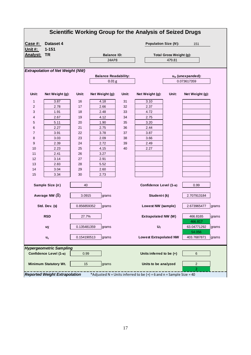|                 |                                         |             |                                                   |       | <b>Scientific Working Group for the Analysis of Seized Drugs</b>      |                         |                                             |       |
|-----------------|-----------------------------------------|-------------|---------------------------------------------------|-------|-----------------------------------------------------------------------|-------------------------|---------------------------------------------|-------|
| Case #:         | Dataset 4                               |             |                                                   |       | <b>Population Size (N):</b>                                           |                         | 151                                         |       |
| <u> Unit #:</u> | $1 - 151$                               |             |                                                   |       |                                                                       |                         |                                             |       |
| <b>Analyst:</b> | <b>TR</b>                               |             | <b>Balance ID:</b>                                |       |                                                                       | Total Gross Weight (g): |                                             |       |
|                 |                                         |             | 24AP8                                             |       |                                                                       | 479.81                  |                                             |       |
|                 |                                         |             |                                                   |       |                                                                       |                         |                                             |       |
|                 | <b>Extrapolation of Net Weight (NW)</b> |             |                                                   |       |                                                                       |                         |                                             |       |
|                 |                                         |             | <b>Balance Readability:</b><br>$0.01\,\mathrm{g}$ |       |                                                                       |                         | u <sub>w</sub> (unexpanded):<br>0.073617359 |       |
|                 |                                         |             |                                                   |       |                                                                       |                         |                                             |       |
| Unit:           | Net Weight (g):                         | Unit:       | Net Weight (g):                                   | Unit: | Net Weight (g):                                                       | Unit:                   | Net Weight (g):                             |       |
| 1               | 3.87                                    | 16          | 4.18                                              | 31    | 3.10                                                                  |                         |                                             |       |
| 2               | 2.78                                    | 17          | 2.66                                              | 32    | 2.37                                                                  |                         |                                             |       |
| 3               | 1.91                                    | 18          | 2.48                                              | 33    | 4.72                                                                  |                         |                                             |       |
| 4               | 2.67                                    | 19          | 4.12                                              | 34    | 2.75                                                                  |                         |                                             |       |
| 5               | 5.11                                    | 20          | 1.90                                              | 35    | 3.20                                                                  |                         |                                             |       |
| 6               | 2.27                                    | 21          | 2.75                                              | 36    | 2.44                                                                  |                         |                                             |       |
| 7               | 3.91                                    | 22          | 3.78                                              | 37    | 3.87                                                                  |                         |                                             |       |
| 8               | 3.03                                    | 23          | 2.09                                              | 38    | 3.66                                                                  |                         |                                             |       |
| 9               | 2.39                                    | 24          | 2.72                                              | 39    | 2.49                                                                  |                         |                                             |       |
| 10              | 2.23                                    | 25          | 4.15                                              | 40    | 2.27                                                                  |                         |                                             |       |
| 11<br>12        | 2.41                                    | 26<br>27    | 3.27<br>2.91                                      |       |                                                                       |                         |                                             |       |
| 13              | 3.14<br>2.83                            | 28          | 5.52                                              |       |                                                                       |                         |                                             |       |
| 14              | 3.04                                    | 29          | 2.60                                              |       |                                                                       |                         |                                             |       |
| 15              | 3.34                                    | 30          | 2.73                                              |       |                                                                       |                         |                                             |       |
|                 |                                         |             |                                                   |       |                                                                       |                         |                                             |       |
|                 | Sample Size (n)                         | 40          |                                                   |       | Confidence Level (1-α)                                                |                         | 0.99                                        |       |
|                 | Average NW $(\overline{X})$             | 3.0915      | grams                                             |       | Student-t (k)                                                         |                         | 2.707913184                                 |       |
|                 | Std. Dev. (s)                           | 0.856859352 | grams                                             |       | Lowest NW (sample)                                                    |                         | 2.673965477                                 | grams |
|                 | <b>RSD</b>                              | 27.7%       |                                                   |       | Extrapolated NW (W)                                                   |                         | 466.8165<br>466.817                         | grams |
|                 | $u_{\overline{X}}$                      | 0.135481359 | grams                                             |       | $\mathsf{U}_\mathsf{T}$                                               |                         | 63.04771292<br>54.056                       | grams |
|                 | $u_{c}$                                 | 0.154190513 | grams                                             |       | <b>Lowest Extrapolated NW</b>                                         |                         | 403.7687871                                 | grams |
|                 | <b>Hypergeometric Sampling</b>          |             |                                                   |       |                                                                       |                         |                                             |       |
|                 | Confidence Level (1-α)                  | 0.99        |                                                   |       | Units inferred to be (+)                                              |                         | 6                                           |       |
|                 | <b>Minimum Statutory Wt.</b>            | 15          | grams                                             |       | Units to be analyzed                                                  |                         | $\overline{c}$<br>$\overline{2}$            |       |
|                 | <b>Reported Weight Extrapolation</b>    |             |                                                   |       | *Adjusted N = Units inferred to be $(+)$ = 6 and n = Sample Size = 40 |                         |                                             |       |
|                 |                                         |             |                                                   |       |                                                                       |                         |                                             |       |
|                 |                                         |             |                                                   |       |                                                                       |                         |                                             |       |
|                 |                                         |             |                                                   |       |                                                                       |                         |                                             |       |
|                 |                                         |             |                                                   |       |                                                                       |                         |                                             |       |
|                 |                                         |             |                                                   |       |                                                                       |                         |                                             |       |
|                 |                                         |             |                                                   |       |                                                                       |                         |                                             |       |
|                 |                                         |             |                                                   |       |                                                                       |                         |                                             |       |
|                 |                                         |             |                                                   |       |                                                                       |                         |                                             |       |
|                 |                                         |             |                                                   | 17    |                                                                       |                         |                                             |       |